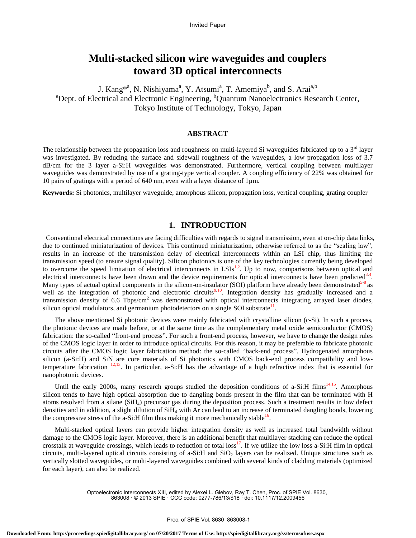# **Multi-stacked silicon wire waveguides and couplers toward 3D optical interconnects**

J. Kang<sup>\*a</sup>, N. Nishiyama<sup>a</sup>, Y. Atsumi<sup>a</sup>, T. Amemiya<sup>b</sup>, and S. Arai<sup>a,b</sup> <sup>a</sup>Dept. of Electrical and Electronic Engineering, <sup>b</sup>Quantum Nanoelectronics Research Center, Tokyo Institute of Technology, Tokyo, Japan

## **ABSTRACT**

The relationship between the propagation loss and roughness on multi-layered Si waveguides fabricated up to a  $3<sup>rd</sup>$  layer was investigated. By reducing the surface and sidewall roughness of the waveguides, a low propagation loss of 3.7 dB/cm for the 3 layer a-Si:H waveguides was demonstrated. Furthermore, vertical coupling between multilayer waveguides was demonstrated by use of a grating-type vertical coupler. A coupling efficiency of 22% was obtained for 10 pairs of gratings with a period of 640 nm, even with a layer distance of  $1\mu$ m.

**Keywords:** Si photonics, multilayer waveguide, amorphous silicon, propagation loss, vertical coupling, grating coupler

## **1. INTRODUCTION**

Conventional electrical connections are facing difficulties with regards to signal transmission, even at on-chip data links, due to continued miniaturization of devices. This continued miniaturization, otherwise referred to as the "scaling law", results in an increase of the transmission delay of electrical interconnects within an LSI chip, thus limiting the transmission speed (to ensure signal quality). Silicon photonics is one of the key technologies currently being developed to overcome the speed limitation of electrical interconnects in  $LSIs<sup>1,2</sup>$ . Up to now, comparisons between optical and electrical interconnects have been drawn and the device requirements for optical interconnects have been predicted $3,4$ . Many types of actual optical components in the silicon-on-insulator (SOI) platform have already been demonstrated  $5-8$  as well as the integration of photonic and electronic circuits<sup>9,10</sup>. Integration density has gradually increased and a transmission density of 6.6 Tbps/cm<sup>2</sup> was demonstrated with optical interconnects integrating arrayed laser diodes, silicon optical modulators, and germanium photodetectors on a single SOI substrate $^{11}$ .

The above mentioned Si photonic devices were mainly fabricated with crystalline silicon (c-Si). In such a process, the photonic devices are made before, or at the same time as the complementary metal oxide semiconductor (CMOS) fabrication: the so-called "front-end process". For such a front-end process, however, we have to change the design rules of the CMOS logic layer in order to introduce optical circuits. For this reason, it may be preferable to fabricate photonic circuits after the CMOS logic layer fabrication method: the so-called "back-end process". Hydrogenated amorphous silicon (a-Si:H) and SiN are core materials of Si photonics with CMOS back-end process compatibility and lowtemperature fabrication  $^{12,13}$ . In particular, a-Si:H has the advantage of a high refractive index that is essential for nanophotonic devices.

Until the early 2000s, many research groups studied the deposition conditions of a-Si:H films<sup>14,15</sup>. Amorphous silicon tends to have high optical absorption due to dangling bonds present in the film that can be terminated with H atoms resolved from a silane (SiH4) precursor gas during the deposition process. Such a treatment results in low defect densities and in addition, a slight dilution of  $SiH<sub>4</sub>$  with Ar can lead to an increase of terminated dangling bonds, lowering the compressive stress of the  $a-Si$ : H film thus making it more mechanically stable<sup>16</sup>.

Multi-stacked optical layers can provide higher integration density as well as increased total bandwidth without damage to the CMOS logic layer. Moreover, there is an additional benefit that multilayer stacking can reduce the optical crosstalk at waveguide crossings, which leads to reduction of total loss<sup>17</sup>. If we utilize the low loss a-Si:H film in optical circuits, multi-layered optical circuits consisting of a-Si:H and  $SiO<sub>2</sub>$  layers can be realized. Unique structures such as vertically slotted waveguides, or multi-layered waveguides combined with several kinds of cladding materials (optimized for each layer), can also be realized.

> Optoelectronic Interconnects XIII, edited by Alexei L. Glebov, Ray T. Chen, Proc. of SPIE Vol. 8630, 863008 · © 2013 SPIE · CCC code: 0277-786/13/\$18 · doi: 10.1117/12.2009456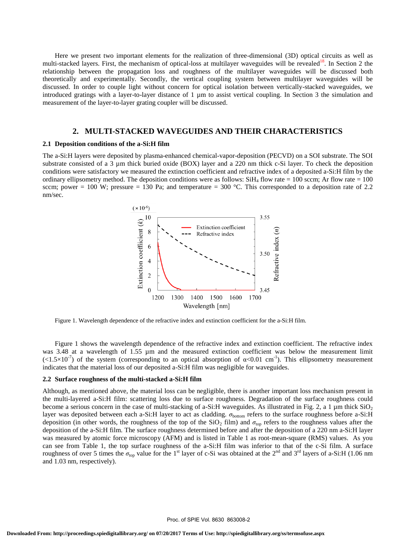Here we present two important elements for the realization of three-dimensional (3D) optical circuits as well as multi-stacked layers. First, the mechanism of optical-loss at multilayer waveguides will be revealed<sup>18</sup>. In Section 2 the relationship between the propagation loss and roughness of the multilayer waveguides will be discussed both theoretically and experimentally. Secondly, the vertical coupling system between multilayer waveguides will be discussed. In order to couple light without concern for optical isolation between vertically-stacked waveguides, we introduced gratings with a layer-to-layer distance of 1  $\mu$ m to assist vertical coupling. In Section 3 the simulation and measurement of the layer-to-layer grating coupler will be discussed.

## **2. MULTI-STACKED WAVEGUIDES AND THEIR CHARACTERISTICS**

#### **2.1 Deposition conditions of the a-Si:H film**

The a-Si:H layers were deposited by plasma-enhanced chemical-vapor-deposition (PECVD) on a SOI substrate. The SOI substrate consisted of a 3 µm thick buried oxide (BOX) layer and a 220 nm thick c-Si layer. To check the deposition conditions were satisfactory we measured the extinction coefficient and refractive index of a deposited a-Si:H film by the ordinary ellipsometry method. The deposition conditions were as follows:  $SiH<sub>4</sub>$  flow rate = 100 sccm; Ar flow rate = 100 sccm; power = 100 W; pressure = 130 Pa; and temperature =  $300^{\circ}$ C. This corresponded to a deposition rate of 2.2 nm/sec.



Figure 1. Wavelength dependence of the refractive index and extinction coefficient for the a-Si:H film.

Figure 1 shows the wavelength dependence of the refractive index and extinction coefficient. The refractive index was 3.48 at a wavelength of 1.55 µm and the measured extinction coefficient was below the measurement limit  $\left(\langle 1.5 \times 10^{-7} \right)$  of the system (corresponding to an optical absorption of  $\alpha < 0.01$  cm<sup>-1</sup>). This ellipsometry measurement indicates that the material loss of our deposited a-Si:H film was negligible for waveguides.

#### **2.2 Surface roughness of the multi-stacked a-Si:H film**

Although, as mentioned above, the material loss can be negligible, there is another important loss mechanism present in the multi-layered a-Si:H film: scattering loss due to surface roughness. Degradation of the surface roughness could become a serious concern in the case of multi-stacking of a-Si:H waveguides. As illustrated in Fig. 2, a 1  $\mu$ m thick SiO<sub>2</sub> layer was deposited between each a-Si:H layer to act as cladding.  $\sigma_{bottom}$  refers to the surface roughness before a-Si:H deposition (in other words, the roughness of the top of the SiO<sub>2</sub> film) and  $\sigma_{top}$  refers to the roughness values after the deposition of the a-Si:H film. The surface roughness determined before and after the deposition of a 220 nm a-Si:H layer was measured by atomic force microscopy (AFM) and is listed in Table 1 as root-mean-square (RMS) values. As you can see from Table 1, the top surface roughness of the a-Si:H film was inferior to that of the c-Si film. A surface roughness of over 5 times the  $\sigma_{top}$  value for the 1<sup>st</sup> layer of c-Si was obtained at the 2<sup>nd</sup> and 3<sup>rd</sup> layers of a-Si:H (1.06 nm and 1.03 nm, respectively).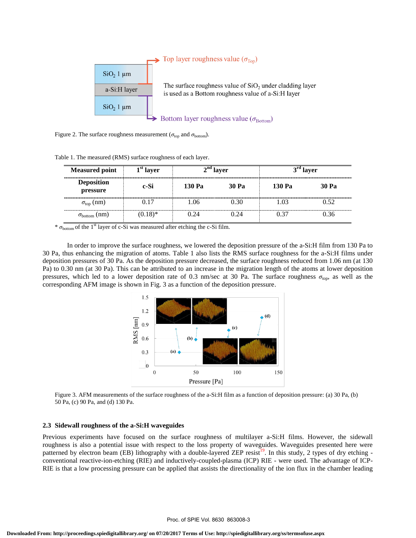

Figure 2. The surface roughness measurement ( $\sigma_{\text{top}}$  and  $\sigma_{\text{bottom}}$ ).

| <b>Measured point</b>         | $1st$ layer<br>c-Si | $2nd$ layer |       | $3rd$ layer |              |
|-------------------------------|---------------------|-------------|-------|-------------|--------------|
| <b>Deposition</b><br>pressure |                     | 130 Pa      | 30 Pa | 130 Pa      | <b>30 Pa</b> |
| $\sigma_{\text{top}}$ (nm)    | 0.17                | 1.06        | 0.30  | 1.03        | 0.52         |
| $\sigma_{\rm bottom}$ (nm)    | $(0.18)$ *          | 0.24        | 0.24  | 0 37        | 0.36         |

Table 1. The measured (RMS) surface roughness of each layer.

\*  $\sigma_{\text{bottom}}$  of the 1<sup>st</sup> layer of c-Si was measured after etching the c-Si film.

In order to improve the surface roughness, we lowered the deposition pressure of the a-Si:H film from 130 Pa to 30 Pa, thus enhancing the migration of atoms. Table 1 also lists the RMS surface roughness for the a-Si:H films under deposition pressures of 30 Pa. As the deposition pressure decreased, the surface roughness reduced from 1.06 nm (at 130 Pa) to 0.30 nm (at 30 Pa). This can be attributed to an increase in the migration length of the atoms at lower deposition pressures, which led to a lower deposition rate of 0.3 nm/sec at 30 Pa. The surface roughness  $\sigma_{top}$ , as well as the corresponding AFM image is shown in Fig. 3 as a function of the deposition pressure.



Figure 3. AFM measurements of the surface roughness of the a-Si:H film as a function of deposition pressure: (a) 30 Pa, (b) 50 Pa, (c) 90 Pa, and (d) 130 Pa.

### **2.3 Sidewall roughness of the a-Si:H waveguides**

Previous experiments have focused on the surface roughness of multilayer a-Si:H films. However, the sidewall roughness is also a potential issue with respect to the loss property of waveguides. Waveguides presented here were patterned by electron beam (EB) lithography with a double-layered ZEP resist<sup>19</sup>. In this study, 2 types of dry etching conventional reactive-ion-etching (RIE) and inductively-coupled-plasma (ICP) RIE - were used. The advantage of ICP-RIE is that a low processing pressure can be applied that assists the directionality of the ion flux in the chamber leading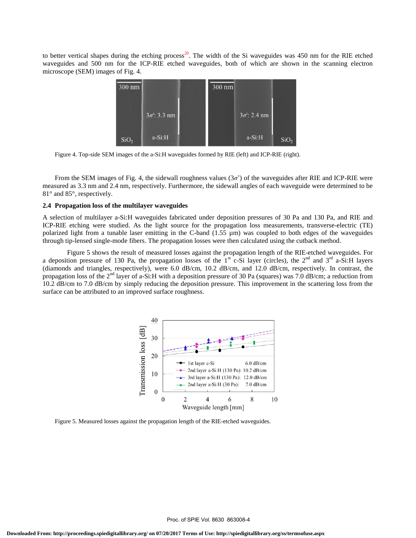to better vertical shapes during the etching process<sup>20</sup>. The width of the Si waveguides was 450 nm for the RIE etched waveguides and 500 nm for the ICP-RIE etched waveguides, both of which are shown in the scanning electron microscope (SEM) images of Fig. 4.



Figure 4. Top-side SEM images of the a-Si:H waveguides formed by RIE (left) and ICP-RIE (right).

From the SEM images of Fig. 4, the sidewall roughness values  $(3\sigma)$  of the waveguides after RIE and ICP-RIE were measured as 3.3 nm and 2.4 nm, respectively. Furthermore, the sidewall angles of each waveguide were determined to be 81° and 85°, respectively.

## **2.4 Propagation loss of the multilayer waveguides**

A selection of multilayer a-Si:H waveguides fabricated under deposition pressures of 30 Pa and 130 Pa, and RIE and ICP-RIE etching were studied. As the light source for the propagation loss measurements, transverse-electric (TE) polarized light from a tunable laser emitting in the C-band (1.55 µm) was coupled to both edges of the waveguides through tip-lensed single-mode fibers. The propagation losses were then calculated using the cutback method.

Figure 5 shows the result of measured losses against the propagation length of the RIE-etched waveguides. For a deposition pressure of 130 Pa, the propagation losses of the  $1<sup>st</sup>$  c-Si layer (circles), the  $2<sup>nd</sup>$  and  $3<sup>rd</sup>$  a-Si:H layers (diamonds and triangles, respectively), were 6.0 dB/cm, 10.2 dB/cm, and 12.0 dB/cm, respectively. In contrast, the propagation loss of the 2nd layer of a-Si:H with a deposition pressure of 30 Pa (squares) was 7.0 dB/cm; a reduction from 10.2 dB/cm to 7.0 dB/cm by simply reducing the deposition pressure. This improvement in the scattering loss from the surface can be attributed to an improved surface roughness.



Figure 5. Measured losses against the propagation length of the RIE-etched waveguides.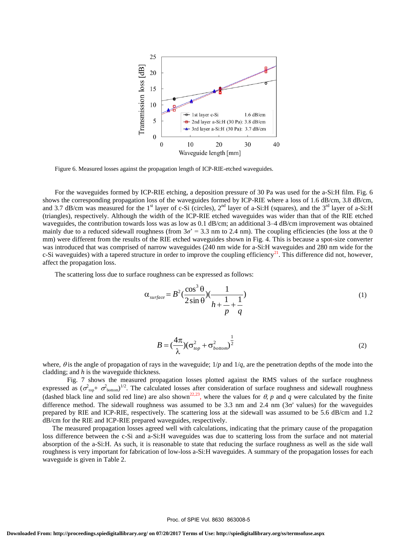

Figure 6. Measured losses against the propagation length of ICP-RIE-etched waveguides.

For the waveguides formed by ICP-RIE etching, a deposition pressure of 30 Pa was used for the a-Si:H film. Fig. 6 shows the corresponding propagation loss of the waveguides formed by ICP-RIE where a loss of 1.6 dB/cm, 3.8 dB/cm, and 3.7 dB/cm was measured for the 1<sup>st</sup> layer of c-Si (circles),  $2<sup>nd</sup>$  layer of a-Si:H (squares), and the 3<sup>rd</sup> layer of a-Si:H (triangles), respectively. Although the width of the ICP-RIE etched waveguides was wider than that of the RIE etched waveguides, the contribution towards loss was as low as 0.1 dB/cm; an additional 3–4 dB/cm improvement was obtained mainly due to a reduced sidewall roughness (from  $3\sigma' = 3.3$  nm to 2.4 nm). The coupling efficiencies (the loss at the 0 mm) were different from the results of the RIE etched waveguides shown in Fig. 4. This is because a spot-size converter was introduced that was comprised of narrow waveguides (240 nm wide for a-Si:H waveguides and 280 nm wide for the c-Si waveguides) with a tapered structure in order to improve the coupling efficiency<sup>21</sup>. This difference did not, however, affect the propagation loss.

The scattering loss due to surface roughness can be expressed as follows:

$$
\alpha_{\text{surface}} = B^2 \left(\frac{\cos^3 \theta}{2 \sin \theta}\right) \left(\frac{1}{h + \frac{1}{p} + \frac{1}{q}}\right) \tag{1}
$$

$$
B = \left(\frac{4\pi}{\lambda}\right)(\sigma_{top}^2 + \sigma_{bottom}^2)^{\frac{1}{2}}
$$
 (2)

where,  $\theta$  is the angle of propagation of rays in the waveguide;  $1/p$  and  $1/q$ , are the penetration depths of the mode into the cladding; and *h* is the waveguide thickness.

Fig. 7 shows the measured propagation losses plotted against the RMS values of the surface roughness expressed as  $(\sigma_{top}^2 + \sigma_{bottom}^2)^{1/2}$ . The calculated losses after consideration of surface roughness and sidewall roughness (dashed black line and solid red line) are also shown<sup>22,23</sup>, where the values for  $\theta$ ,  $p$  and  $q$  were calculated by the finite difference method. The sidewall roughness was assumed to be 3.3 nm and 2.4 nm  $(3\sigma')$  values) for the waveguides prepared by RIE and ICP-RIE, respectively. The scattering loss at the sidewall was assumed to be 5.6 dB/cm and 1.2 dB/cm for the RIE and ICP-RIE prepared waveguides, respectively.

The measured propagation losses agreed well with calculations, indicating that the primary cause of the propagation loss difference between the c-Si and a-Si:H waveguides was due to scattering loss from the surface and not material absorption of the a-Si:H. As such, it is reasonable to state that reducing the surface roughness as well as the side wall roughness is very important for fabrication of low-loss a-Si:H waveguides. A summary of the propagation losses for each waveguide is given in Table 2.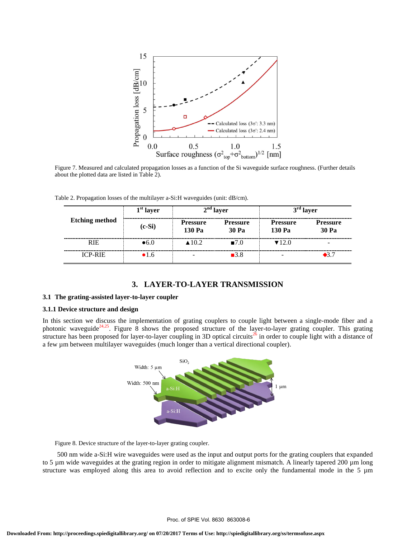

Figure 7. Measured and calculated propagation losses as a function of the Si waveguide surface roughness. (Further details about the plotted data are listed in Table 2).

Table 2. Propagation losses of the multilayer a-Si:H waveguides (unit: dB/cm).

| <b>Etching method</b> | $1st$ layer   | $2nd$ layer               |                          | $3rd$ layer               |                           |
|-----------------------|---------------|---------------------------|--------------------------|---------------------------|---------------------------|
|                       | $(c-Si)$      | <b>Pressure</b><br>130 Pa | <b>Pressure</b><br>30 Pa | <b>Pressure</b><br>130 Pa | <b>Pressure</b><br>30 Pa  |
| <b>RIE</b>            | $\bullet$ 6.0 | $\triangle$ 10.2          | $-7.0$                   | $\blacktriangledown$ 12.0 |                           |
| <b>ICP-RIE</b>        | •1.6          |                           | $\blacksquare$ 3.8       |                           | $\blacktriangleright$ 3.7 |

## **3. LAYER-TO-LAYER TRANSMISSION**

#### **3.1 The grating-assisted layer-to-layer coupler**

## **3.1.1 Device structure and design**

In this section we discuss the implementation of grating couplers to couple light between a single-mode fiber and a photonic waveguide<sup>24,25</sup>. Figure 8 shows the proposed structure of the layer-to-layer grating coupler. This grating structure has been proposed for layer-to-layer coupling in 3D optical circuits<sup>26</sup> in order to couple light with a distance of a few µm between multilayer waveguides (much longer than a vertical directional coupler).



Figure 8. Device structure of the layer-to-layer grating coupler.

500 nm wide a-Si:H wire waveguides were used as the input and output ports for the grating couplers that expanded to 5 µm wide waveguides at the grating region in order to mitigate alignment mismatch. A linearly tapered 200 µm long structure was employed along this area to avoid reflection and to excite only the fundamental mode in the  $5 \mu m$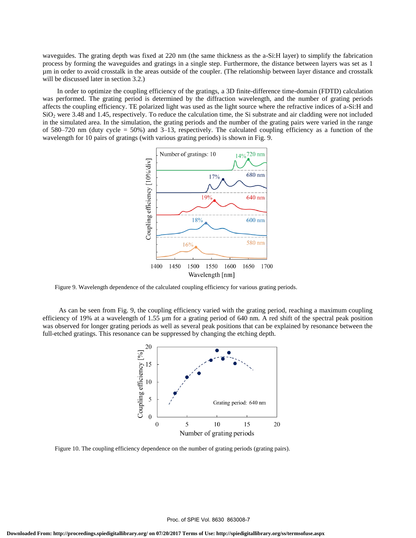waveguides. The grating depth was fixed at 220 nm (the same thickness as the a-Si:H layer) to simplify the fabrication process by forming the waveguides and gratings in a single step. Furthermore, the distance between layers was set as 1 µm in order to avoid crosstalk in the areas outside of the coupler. (The relationship between layer distance and crosstalk will be discussed later in section 3.2.)

In order to optimize the coupling efficiency of the gratings, a 3D finite-difference time-domain (FDTD) calculation was performed. The grating period is determined by the diffraction wavelength, and the number of grating periods affects the coupling efficiency. TE polarized light was used as the light source where the refractive indices of a-Si:H and  $SiO<sub>2</sub>$  were 3.48 and 1.45, respectively. To reduce the calculation time, the Si substrate and air cladding were not included in the simulated area. In the simulation, the grating periods and the number of the grating pairs were varied in the range of 580–720 nm (duty cycle = 50%) and 3–13, respectively. The calculated coupling efficiency as a function of the wavelength for 10 pairs of gratings (with various grating periods) is shown in Fig. 9.



Figure 9. Wavelength dependence of the calculated coupling efficiency for various grating periods.

As can be seen from Fig. 9, the coupling efficiency varied with the grating period, reaching a maximum coupling efficiency of 19% at a wavelength of 1.55  $\mu$ m for a grating period of 640 nm. A red shift of the spectral peak position was observed for longer grating periods as well as several peak positions that can be explained by resonance between the full-etched gratings. This resonance can be suppressed by changing the etching depth.



Figure 10. The coupling efficiency dependence on the number of grating periods (grating pairs).

Proc. of SPIE Vol. 8630 863008-7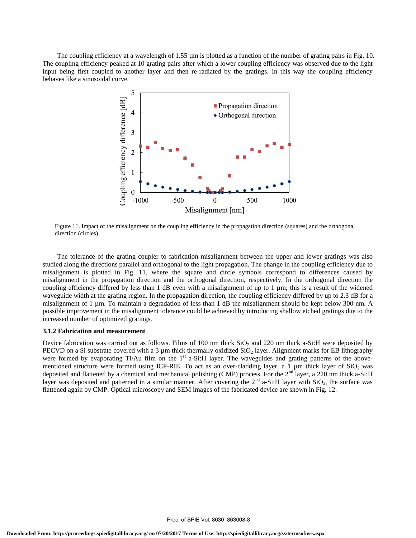The coupling efficiency at a wavelength of 1.55  $\mu$ m is plotted as a function of the number of grating pairs in Fig. 10. The coupling efficiency peaked at 10 grating pairs after which a lower coupling efficiency was observed due to the light input being first coupled to another layer and then re-radiated by the gratings. In this way the coupling efficiency behaves like a sinusoidal curve.



Figure 11. Impact of the misalignment on the coupling efficiency in the propagation direction (squares) and the orthogonal direction (circles).

The tolerance of the grating coupler to fabrication misalignment between the upper and lower gratings was also studied along the directions parallel and orthogonal to the light propagation. The change in the coupling efficiency due to misalignment is plotted in Fig. 11, where the square and circle symbols correspond to differences caused by misalignment in the propagation direction and the orthogonal direction, respectively. In the orthogonal direction the coupling efficiency differed by less than 1 dB even with a misalignment of up to 1  $\mu$ m; this is a result of the widened waveguide width at the grating region. In the propagation direction, the coupling efficiency differed by up to 2.3 dB for a misalignment of 1 µm. To maintain a degradation of less than 1 dB the misalignment should be kept below 300 nm. A possible improvement in the misalignment tolerance could be achieved by introducing shallow etched gratings due to the increased number of optimized gratings.

### **3.1.2 Fabrication and measurement**

Device fabrication was carried out as follows. Films of 100 nm thick  $SiO<sub>2</sub>$  and 220 nm thick a-Si:H were deposited by PECVD on a Si substrate covered with a 3  $\mu$ m thick thermally oxidized SiO<sub>2</sub> layer. Alignment marks for EB lithography were formed by evaporating Ti/Au film on the 1<sup>st</sup> a-Si:H layer. The waveguides and grating patterns of the abovementioned structure were formed using ICP-RIE. To act as an over-cladding layer, a 1 µm thick layer of SiO<sub>2</sub> was deposited and flattened by a chemical and mechanical polishing (CMP) process. For the 2<sup>nd</sup> layer, a 220 nm thick a-Si:H layer was deposited and patterned in a similar manner. After covering the  $2^{nd}$  a-Si:H layer with SiO<sub>2</sub>, the surface was flattened again by CMP. Optical microscopy and SEM images of the fabricated device are shown in Fig. 12.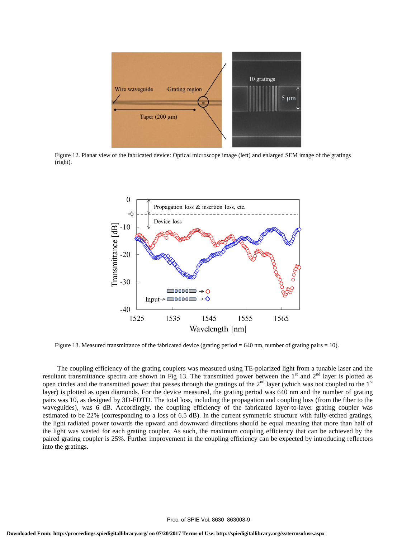

Figure 12. Planar view of the fabricated device: Optical microscope image (left) and enlarged SEM image of the gratings (right).



Figure 13. Measured transmittance of the fabricated device (grating period = 640 nm, number of grating pairs = 10).

The coupling efficiency of the grating couplers was measured using TE-polarized light from a tunable laser and the resultant transmittance spectra are shown in Fig 13. The transmitted power between the  $1<sup>st</sup>$  and  $2<sup>nd</sup>$  layer is plotted as open circles and the transmitted power that passes through the gratings of the  $2<sup>nd</sup>$  layer (which was not coupled to the  $1<sup>st</sup>$ layer) is plotted as open diamonds. For the device measured, the grating period was 640 nm and the number of grating pairs was 10, as designed by 3D-FDTD. The total loss, including the propagation and coupling loss (from the fiber to the waveguides), was 6 dB. Accordingly, the coupling efficiency of the fabricated layer-to-layer grating coupler was estimated to be 22% (corresponding to a loss of 6.5 dB). In the current symmetric structure with fully-etched gratings, the light radiated power towards the upward and downward directions should be equal meaning that more than half of the light was wasted for each grating coupler. As such, the maximum coupling efficiency that can be achieved by the paired grating coupler is 25%. Further improvement in the coupling efficiency can be expected by introducing reflectors into the gratings.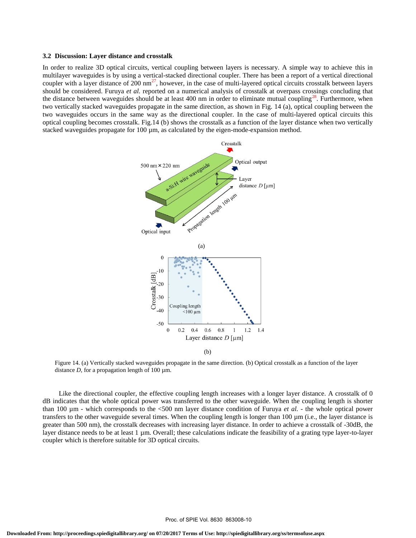#### **3.2 Discussion: Layer distance and crosstalk**

In order to realize 3D optical circuits, vertical coupling between layers is necessary. A simple way to achieve this in multilayer waveguides is by using a vertical-stacked directional coupler. There has been a report of a vertical directional coupler with a layer distance of  $200 \text{ nm}^2$ , however, in the case of multi-layered optical circuits crosstalk between layers should be considered. Furuya *et al.* reported on a numerical analysis of crosstalk at overpass crossings concluding that the distance between waveguides should be at least 400 nm in order to eliminate mutual coupling<sup>28</sup>. Furthermore, when two vertically stacked waveguides propagate in the same direction, as shown in Fig. 14 (a), optical coupling between the two waveguides occurs in the same way as the directional coupler. In the case of multi-layered optical circuits this optical coupling becomes crosstalk. Fig.14 (b) shows the crosstalk as a function of the layer distance when two vertically stacked waveguides propagate for 100 µm, as calculated by the eigen-mode-expansion method.



(b)

Figure 14. (a) Vertically stacked waveguides propagate in the same direction. (b) Optical crosstalk as a function of the layer distance  $D$ , for a propagation length of 100  $\mu$ m.

Like the directional coupler, the effective coupling length increases with a longer layer distance. A crosstalk of 0 dB indicates that the whole optical power was transferred to the other waveguide. When the coupling length is shorter than 100  $\mu$ m - which corresponds to the <500 nm layer distance condition of Furuya *et al.* - the whole optical power transfers to the other waveguide several times. When the coupling length is longer than 100 µm (i.e., the layer distance is greater than 500 nm), the crosstalk decreases with increasing layer distance. In order to achieve a crosstalk of -30dB, the layer distance needs to be at least 1 µm. Overall; these calculations indicate the feasibility of a grating type layer-to-layer coupler which is therefore suitable for 3D optical circuits.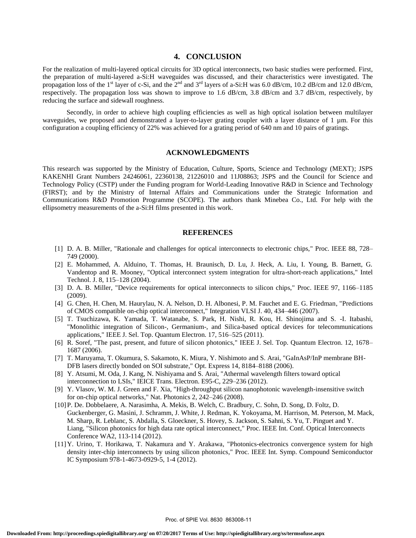# **4. CONCLUSION**

For the realization of multi-layered optical circuits for 3D optical interconnects, two basic studies were performed. First, the preparation of multi-layered a-Si:H waveguides was discussed, and their characteristics were investigated. The propagation loss of the 1<sup>st</sup> layer of c-Si, and the 2<sup>nd</sup> and 3<sup>rd</sup> layers of a-Si:H was 6.0 dB/cm, 10.2 dB/cm and 12.0 dB/cm, respectively. The propagation loss was shown to improve to 1.6 dB/cm, 3.8 dB/cm and 3.7 dB/cm, respectively, by reducing the surface and sidewall roughness.

Secondly, in order to achieve high coupling efficiencies as well as high optical isolation between multilayer waveguides, we proposed and demonstrated a layer-to-layer grating coupler with a layer distance of 1 µm. For this configuration a coupling efficiency of 22% was achieved for a grating period of 640 nm and 10 pairs of gratings.

## **ACKNOWLEDGMENTS**

This research was supported by the Ministry of Education, Culture, Sports, Science and Technology (MEXT); JSPS KAKENHI Grant Numbers 24246061, 22360138, 21226010 and 11J08863; JSPS and the Council for Science and Technology Policy (CSTP) under the Funding program for World-Leading Innovative R&D in Science and Technology (FIRST); and by the Ministry of Internal Affairs and Communications under the Strategic Information and Communications R&D Promotion Programme (SCOPE). The authors thank Minebea Co., Ltd. For help with the ellipsometry measurements of the a-Si:H films presented in this work.

## **REFERENCES**

- [1] D. A. B. Miller, "Rationale and challenges for optical interconnects to electronic chips," Proc. IEEE 88, 728– 749 (2000).
- [2] E. Mohammed, A. Alduino, T. Thomas, H. Braunisch, D. Lu, J. Heck, A. Liu, I. Young, B. Barnett, G. Vandentop and R. Mooney, "Optical interconnect system integration for ultra-short-reach applications," Intel Technol. J. 8, 115–128 (2004).
- [3] D. A. B. Miller, "Device requirements for optical interconnects to silicon chips," Proc. IEEE 97, 1166–1185 (2009).
- [4] G. Chen, H. Chen, M. Haurylau, N. A. Nelson, D. H. Albonesi, P. M. Fauchet and E. G. Friedman, "Predictions of CMOS compatible on-chip optical interconnect," Integration VLSI J. 40, 434–446 (2007).
- [5] T. Tsuchizawa, K. Yamada, T. Watanabe, S. Park, H. Nishi, R. Kou, H. Shinojima and S. -I. Itabashi, "Monolithic integration of Silicon-, Germanium-, and Silica-based optical devices for telecommunications applications," IEEE J. Sel. Top. Quantum Electron. 17, 516–525 (2011).
- [6] R. Soref, "The past, present, and future of silicon photonics," IEEE J. Sel. Top. Quantum Electron. 12, 1678– 1687 (2006).
- [7] T. Maruyama, T. Okumura, S. Sakamoto, K. Miura, Y. Nishimoto and S. Arai, "GaInAsP/InP membrane BH-DFB lasers directly bonded on SOI substrate," Opt. Express 14, 8184–8188 (2006).
- [8] Y. Atsumi, M. Oda, J. Kang, N. Nishiyama and S. Arai, "Athermal wavelength filters toward optical interconnection to LSIs," IEICE Trans. Electron. E95-C, 229–236 (2012).
- [9] Y. Vlasov, W. M. J. Green and F. Xia, "High-throughput silicon nanophotonic wavelength-insensitive switch for on-chip optical networks," Nat. Photonics 2, 242–246 (2008).
- [10]P. De. Dobbelaere, A. Narasimha, A. Mekis, B. Welch, C. Bradbury, C. Sohn, D. Song, D. Foltz, D. Guckenberger, G. Masini, J. Schramm, J. White, J. Redman, K. Yokoyama, M. Harrison, M. Peterson, M. Mack, M. Sharp, R. Leblanc, S. Abdalla, S. Gloeckner, S. Hovey, S. Jackson, S. Sahni, S. Yu, T. Pinguet and Y. Liang, "Silicon photonics for high data rate optical interconnect," Proc. IEEE Int. Conf. Optical Interconnects Conference WA2, 113-114 (2012).
- [11]Y. Urino, T. Horikawa, T. Nakamura and Y. Arakawa, "Photonics-electronics convergence system for high density inter-chip interconnects by using silicon photonics," Proc. IEEE Int. Symp. Compound Semiconductor IC Symposium 978-1-4673-0929-5, 1-4 (2012).